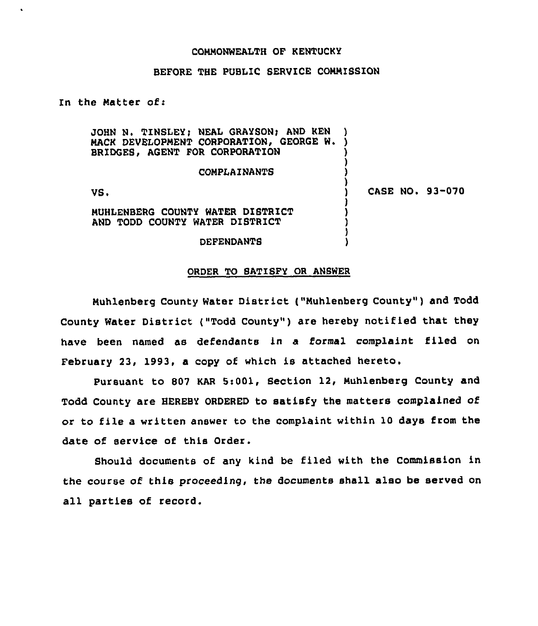#### COMMONWEALTH OF KENTUCKY

# BEFORE THE PUBLIC SERVICE COMMISSION

In the Matter of:

 $\bullet$ 

JOHN N. TINSLEY; NEAL GRAYSON; AND KEN )<br>MACK DEVELOPMENT CORPORATION, GEORGE W. ) MACK DEVELOPMENT CORPORATION, GEORGE W. BRIDGES, AGENT FOR CORPORATION

#### **COMPLAINANTS**

VS.

CASE NO. 93-070

MUHLENBERG COUNTY WATER DISTRICT AND TODD COUNTY WATER DISTRICT

#### DEFENDANTS

#### ORDER TO SATISFY OR ANSWER

Muhlenberg County Water District ("Muhlenberg County" ) and Todd County Water District ("Todd County" ) are hereby notified that they have been named as defendants in a formal complaint filed on February 23, 1993, a copy of which is attached hereto,

Pursuant to 807 KAR 5:001, Section 12, Muhlenberg County and Todd County are HEREBY ORDERED to satisfy the matters complained of or to file a written answer to the complaint within 10 days from the date of service of this Order.

Should documents of any kind be filed with the Commission in the course of this proceeding, the documents shall also be served on all parties of record.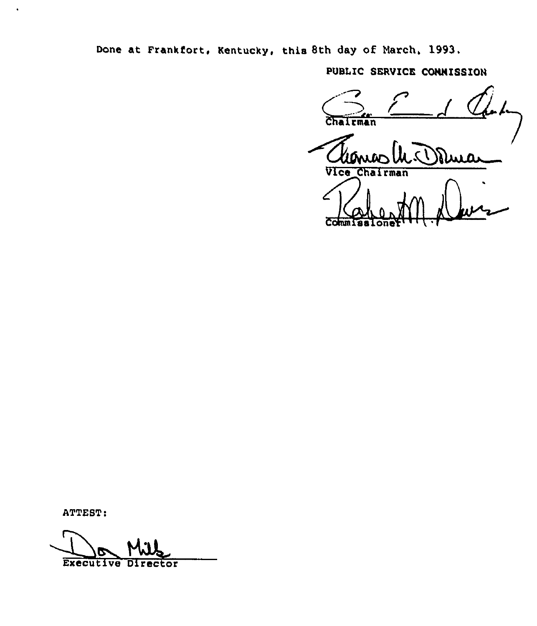Done at Frankfort, Kentucky, this 8th day of March, 1993.

PUBLIC SERVICE CONNISSION

Chairman ىقىند Vice Chairman  $\overline{C}$ om

ATTEST:

**Executive Director**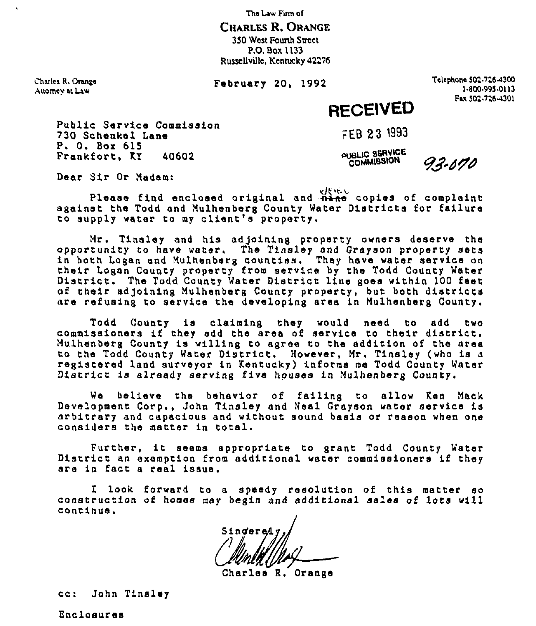The Law Firm ol

CHARLES R. ORANGE 350 West Founh Street P.O. Box 1133 Russellville, Kentucky 42276

Charles R. Oranxo Anomay at Law

February 20, 1992

Telephone 503.7tea300 1-800-995-0113<br>Fax 502-726-4301

# RECEIVEO

Public Service Commission 730 Schenkel Lane<br>P. O. Box 615<br>Frankfort, KY 40602 Frankfort, KY

FEB 23 1993

PUBLIC SERVICE

93-670

Dear Sir Or Madam:

Please find enclosed original and  $\frac{d}{dt}$  copies of complaint against the Todd and Nulhenberg County Water Districts for failure -guined in teen the nemerolog essay, where the computer of the second the second the second the second the second the second the second the second the second the second the second the second the second the second the secon

Nr. Tinsley and his adjoining property owners deserve the opportunity to have water. The Tinsley nnd Grayson property sets in both Logan and Mulhenberg counties. They have water service or their Logan County property from service by the Todd County Water District. The Todd County Water District line goes within 100 feet of their adjoining Mulhenberg County property, but both districts rare refusing to service the developing area in Nuihenberg County,

Todd County is claiming they would need to add two commissioners if they add the area of service to their district. Nulhenberg County is willing to agree to the add1tion of the area to the Todd County Water D1strict. However, Nr. Tinsley (who is <sup>a</sup> registered land surveyor in Kentucky) informs me Todd County Water District is already serving five houses in Mulhenberg County.

We believe the behavior of failing to allow Ken Mack Development Corp., John Tinsley snd Neal Grayson waxer service is arbitrary and capacious and without sound basis or reason when one considers the matter in total.

Further, it seems appropriate to grant Todd County Water District an exemption from additional water commissioners if they are in fact <sup>a</sup> real issue.

I look forward to a speedy resolution of this matter so construction of homes may begin and additional sales of lots will continue.

Singered

Charles R. Orange

cc: John Tinsley

Enclosures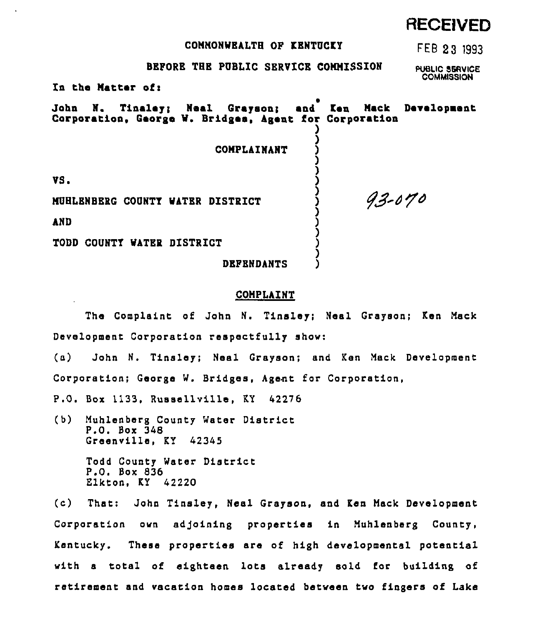# COMMONWEALTH OF KBNTUCKY

FEB 23 1993

RECEIVED

# BEFORE TBE PUBLIC SERVICE CONNISSION

PUBLIC SERVICE **COMMISSION** 

93-070

In the Matter of:

John N. Tinaley; Neal Grayson; and Ken Maci Corporation, George W. Bridges, Agent for Corporation ) Development

)

) )

**COMPLAINANT** 

VS.

NUBLBNBERG COUNTY NATBR DISTRICT

AND

TODD COUNTY WATER DISTRICT

DBFENDANTS

### COMPLAINT

The Complaint of'ohn N. Tinaley; Neal Grayson; Ken Mack Development Corporation respectfully show:

(a) John N. Tinsley; Neal Grayson; and Ken Mack Development Corporation; George W. Bridges, Agent for Corporation,

P.O. Box 1133, Russellville, KY 42276

(b) Muhlenberg County Water District P.O. Box 348 Greenville, KY 42345

> Todd County Water District P.O. Box 836 Elkton, KY 42220

(c) That: John Tinsley, Nasl Grayson, and Ken Mack Development Corporation own adjoining properties in Muhlenberg County, Kentucky. These properties are of high developmental potential with a total of eighteen lots already sold for building of retirement and vacation homes located between two fingers of Lake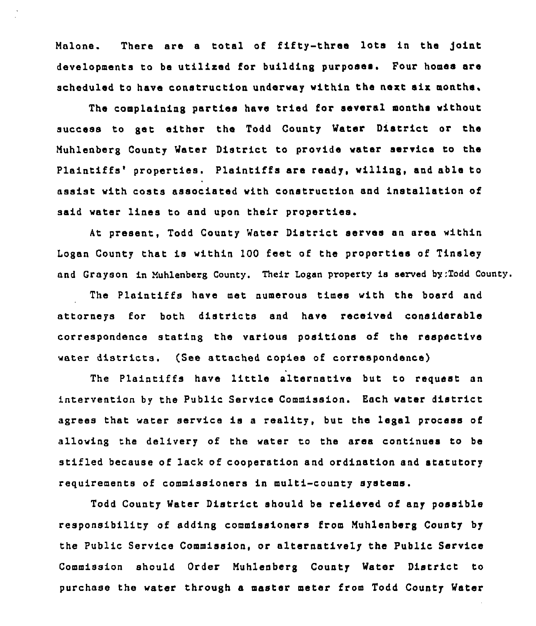Malone. There are <sup>a</sup> total of fifty-three lots in the joint developments to be utilixed for building purposes. Pour homes are scheduled to have construction underway within tha next six months,

The complaining parties have tried for several months without success to gat either the Todd County Water District or the Muhlenberg County Water District to provide water service to the Plaintiffs' properties. Plaintiffs are ready, willing, and able to assist with costs associated with construction and installation of said water lines to and upon their properties.

At present, Todd County Water District serves an area within Logan County that is within 100 feet of the properties of Tinsley and Grayson in Nuhlenberg County. Their Logan property is served by:Todd County.

The Plaintiffs have met numerous times with the board and attorneys for both districts and have received considerable correspondence stating the various positions of tha respective water districts. (See attached copies of correspondence)

The Plaintiffs have little alternative but to request an intervention by the Public Service Commission. Each water district agrees that water service is <sup>a</sup> reality, but the legal process of allowing the delivery of the water to the area continues to be stifled because of lack of cooperation and ordination and statutory requirements of commissioners in multi-county systems.

Todd County Water District should be relieved of any possible responsibility of adding commissioners from Nuhlenberg County by the Public Service Commission, or alternatively the Public Service Commission should Order Muhlenberg County Water District to purchase the water through a master meter from Todd County Water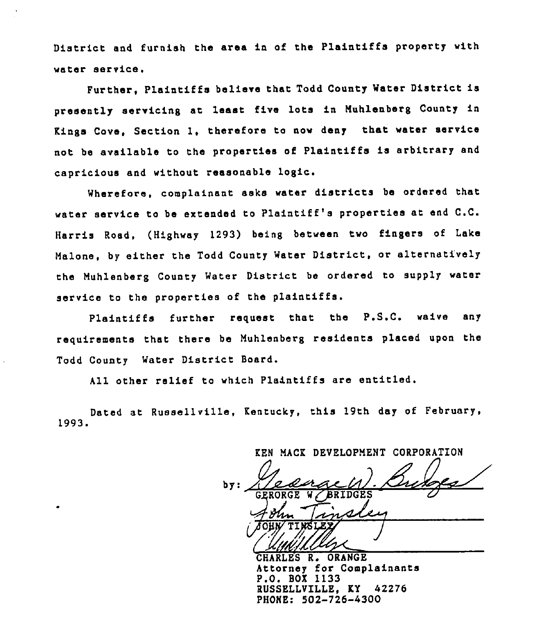District and furnish the area in of the Plaintiffs property with water service.

Further, Plaintiffs believe that Todd County Water District is presently servicing at least, five lots in Muhlenberg County in Kings Cove, Section 1, therefore to now deny that water service not be available to the properties of Plaintiffs is arbitrary end capricious and without reasonable logic.

Wherefore, complainant asks water districts ba ordered that water service to be extended to Plaintiff's properties at end C.C. Harris Road, (Highway 1293) being between two fingers of Lake Malone, by either the Todd County Water District, or alternatively the Muhlenberg County Water District be ordered to supply water service to the properties of the plaintiffs.

Plaintiffs further request that the P.S.C. waive any requirements that there be Muhlenberg residents placed upon the Todd County Water District Board.

All other relief to which Plaintiffs are entitled.

Dated at Russellville, Kentucky, this 19th day of February, 1993.

KEN MACK DEVELOPMENT CORPORATION  $by:$  $\sigma$ v (Unitille

ORANGE Attorney for Complainsnts P.O. BOX 1133 RUSSELLVILLE, KY 42276 PHONE: 502-726-4300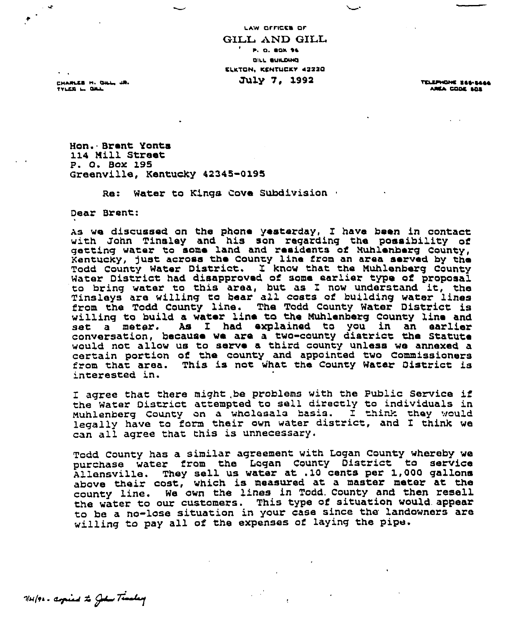LAW OFFICES OF GILL AND GILL **P.O. BOX 96** OILL OICLOWO ELKTON, KENTUCKY 42220 July 7, 1992 TELEPHONE SOPSOGE

CHARLES H. GILL, JR. FFLCO I OOL

AREA CODE SOS

Mon. Brent Yonts 114 Mill Street P. 0, Box 195 areenville, Kentucky 42345-0195

Re: Water to Kings Cove Subdivision .

Dear Brent

As we discussed on the phone yesterday, I have been in contact<br>with John Tinsley and his son regarding the possibility of with John Tinsley and his son regarding the possibility of getting water to some land and residents of Muhlenberg County, Kentucky, gust across the County line from an area served by the Todd county Water District. I know that the Muhlenberg county Water District had disapproved of some earlier type of proposal water Discrict had disapproved of some earlier type of proposal Tinsleys are willing to bear all costs of building water lines from the Todd County line. The Todd County Water District is willing to build a water line to the Muhlenberg county line and set a meter. As I had explained to you in an earlier conversation, because we are a two-county district the statute would not allow us to serve a third county unless we annexed a certain portion of the county and appointed two Commissioners from that area. This is not what the County Water District is interested in.

I agree that there might be problems with the Public Service if the Water District attempted to sell directly to individuals in Muhlenberg County on a wholesale basis. I think they would Munienberg County on a wholesais basis. I think unay would<br>legally have to form their own water district, and I think we can all agree that this is unnecessary.

Todd county has a similar agreement with Logan county whereby we purchase water from the Lagan County District to service Allensville. They sell us water at .10 cents per 1,000 gallons above their cost, which is measured at <sup>a</sup> master meter at the county line. We own the lines in Todd, county and then resell the water to our customers. This type of situation would. appear to be a no-lose situation in your case since the landowners are willing to pay all of the expenses of laying the pipe.

WHIPE - aspired to John Timbery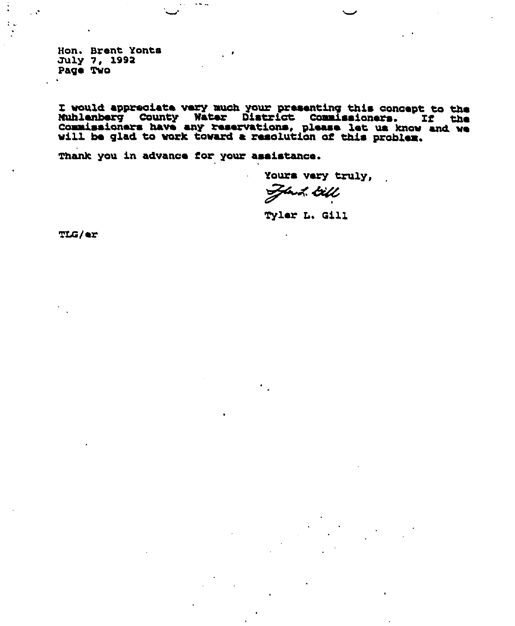Hon. Brent Yonts July 7, 1992 Page Two

 $\sim$   $\sim$ 

I would appreciate very much your presenting this concept to the Muhlenberg County Water District Commissioners. If the Commissioners have any reservations, please let us know and we will be glad to work toward a resolutio

Thank you in advance for your assistance.

Yours very truly,

Just till

Tyler L. Gill

**TLG/er**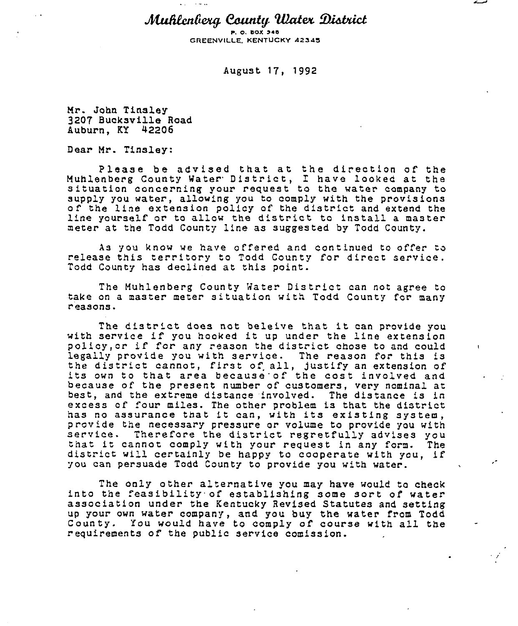Muhlenberg County Water District

P. O. BOX 548 GREENVILLE, KENTUCKY 42345

August 17) 1992

Mr. John Tinsley 3207 Bucksville Road Auburn, KT 42206

Dear Mr. Tinsley:

Please be advised that at the direction of the Muhlenberg County Water District, I have looked at the situation concerning your request to the water company to supply you water, allowing you to comply with the provisions of the line extension policy of the district and extend the line yourself or to allow the district to install a master meter at the Todd County line as suggested by Todd County.

As you know we have offered and continued to offer to release this territory to Todd County for direct service. Todd County has declined at this point.

The Muhlenberg County Water District can not agree to take on a master meter situation with Todd County for many <sup>r</sup> easons.

The district does not beleive that it can provide you with service if you hooked it up under the line extension policy, or if for any reason the district chose to and could legally provide you with service. The reason for this is<br>the district cannot, first of all, justify an extension of its own to that area because of the cost involved and because of the present number of customers, very nominal at best, and the extreme distance involved. The distance is in excess of four miles. The other problem is that the district has no assurance that it can, with its existing system,<br>provide the necessary pressure or volume to provide you with service. Therefore the district regretfully advises you<br>that it cannot comply with your request in any form. The<br>district will certainly be happy to cooperate with you, if you can persuade Todd County to provide you with water.

 $\mathbf{t}$ 

The only other alternative you may have would to check<br>into the feasibility of establishing some sort of water<br>association under the Kentucky Revised Statutes and setting up your own water company, and you buy the water from Todd County. You would have to comply of course with all the <sup>r</sup> equirements of the public service comission.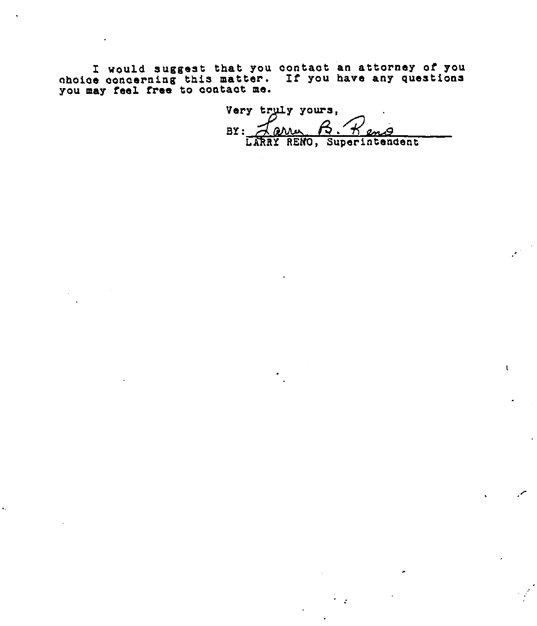I would suggest that you oontaot an attorney of you ohoioe oonoerning this matter. If you have any questions you may feel free to oontaot me.

 $\ddot{\phantom{a}}$ 

Very truly yours,<br>BY: <u>Jann, B. Heme</u><br>LARRY RENO, Superintendent

 $\mathbf{1}$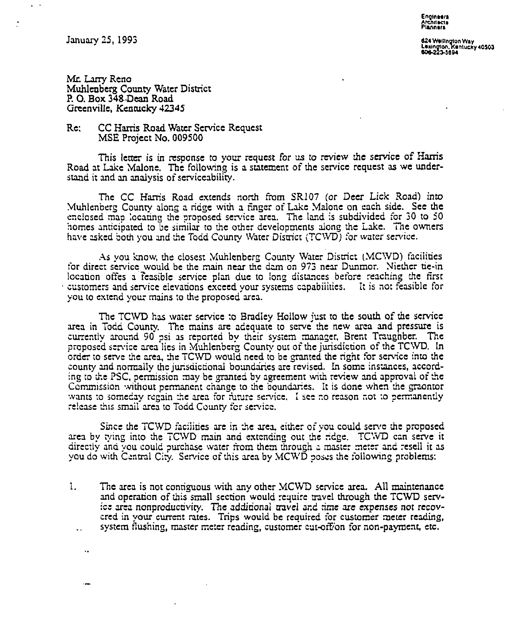January 25, 1995

 $\ddotsc$ 

Enqlneere rehit**e**el<br>lannen

624 Weilington Way<br>Lexington, Kentucky 4050<br>606-223-5694

Mr. Larry Reno Muhlenberg County Water District P. O. Box 34g Dean Road Greenville, Kentucky 42345

# Rc: CC Hams Road Water Service Request MSE Project No. 009500

This letter is in response to your request for us to review the service of Harris Road at Lake Malone. The following is a statement of the service request as we understand it and an analysis of serviceability.

Thc CC Hams Road extends north from SR107 (or Deer Lick Road) into Muhlenberg County along a ridge with a finger of Lake Malone on each side. See the enclosed map locating the proposed service area. The land is subdivided for 30 to 50 homes anticipated to be similar to the other developments along the Lake. The owners have asked both you and the Todd County Water District (TCWD) for water service.

As you know, the closest Muhlenberg County Water District (MCWD) facilities tor direct service would be thc main near thc dam on 975 near Dunmor. Niethcr tie-in location offes a feasible service plan due to long distances before reaching the first customers and service elevations exccetl your systems capabilities. It is no: feasible for you to extend your mains to the proposed area.

The TCWD has water service to Bradley Hollow just to the south of the service area in Todd County. The mains are adequate to serve the new area and pressure is currently around 90 psi as reported by their system manager, Brert Traughbcr. The proposed service area lies in Muhlenberg County out of the jurisdiction of the TCWD. In order to serve the area, the TCWD would need to be granted the right for service into the county and normally the jurisdictional boundaries are revised. In some instances, according to the PSC, permission may be granted by agreement with review and approval of the Commission without permanent change to the boundaries. It is done when the graontor wants to someday regain the area for future service. I see no reason not to permanently release this small area to Todd County for service.

Since the TCWD facilities are in the area, either of you could serve the proposed area by tying into the TCWD main and extending out the ridge. TCWD can serve it directly and you could purchase water from them through a master meter and resell it as you do with Central City. Service of this area by MCWD poses the rollowing problems:

1. The area is not conriguous with any other MCWD service area. All maintenance and operation of this small section would require travel through the TCWD service area nonproductivity. The additional travel and time are expenses not recovered in your current rates. Trips would be required for customer meter reading, system flushing, master meter reading, customer cut-off/on for non-payment, etc.  $\ddotsc$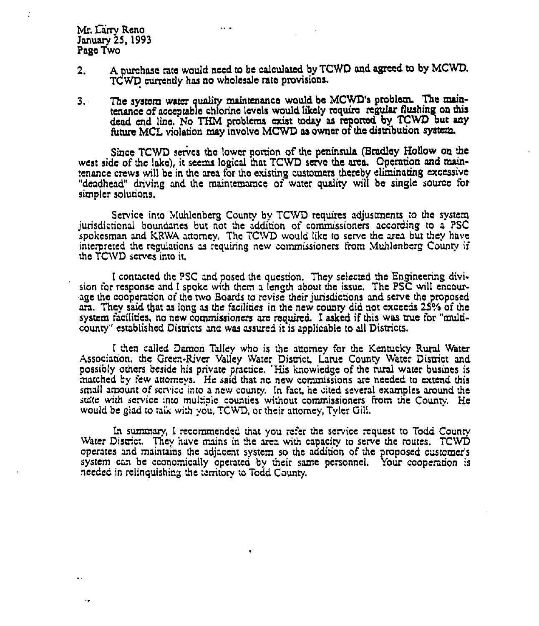Mr. Carry Reno January 25, 1993 Page Two

 $\sim$  .

2. A purchase rate would need to be calculated by TCWD and agreed to by MCWD. TCWD currently has no wholesale rate provisions.

 $\sim$ 

3. The system water quality maintenance would be MCWD's problem. The maintenance of acceptable chlorine levels would likely require regular flushing on this dead cnd line. No THM problems exist today as reported by TCWD but any future MCL violation may involve MCWD as owner of the distribution system.

Since TCWD serves the lower portion of the peninsula (Bradley Hollow on the west side of the lake), it seems logical that TCWD serve the area. Operation and maintenance crews will be in the area for the existing customers thereby eliminating excessive "deadhead" driving and the maintemarnce of water quality will be single source for simpler solutions.

Service into Muhlenberg County by TCWD requires adjustments to the system jurisdictional boundaries but not the addition of commissioners according to a PSC spokesman and KRWA attorney. The TCWD would like to serve the area but they have interpreted the regulations as requiring new commissioners from Muhlenberg County if the TCWD serves into it.

I contacted thc PSC and posed the question. They selected thc Engineering division for response and I spoke with them a length about the issue. The PSC will encourage the cooperation of the two Boards to revise their jurisdictions and serve the proposed ara. They said that as long as the facilities in the new county did not exceeds 25% of the system Facilides, no new commissioners are required. I asked if this was nue for "muldcounry" established Disuicts and was assured it is applicable to all Disuicts,

I then called Damon Talley who is the attorney for the Kentucky Rural Water Associadon. thc Green-River Valley Water Dismct, Latue County Water District and possibly others beside his private practice. 'His knowledge of the rural water busines is matched by few attorneys. He said that no new commissions are needed to extend this small amount of scnicc into a ncw counry, In Fact, he cited several examples around the state with service into multiple counties without commissioners from the County. He would be glad to talk with you, TCWD, or their attorney, Tyler Gill.

In summary, I recommended that you refer the service request to Todd County Water District. They have mains in the area with capacity to serve the routes. TCWD operates and maintains thc adjacent system so thc addition of dte proposed customer' system can be economically operated by their same personnel. Your cooperation is needed in relinquishing the territory to Todd County.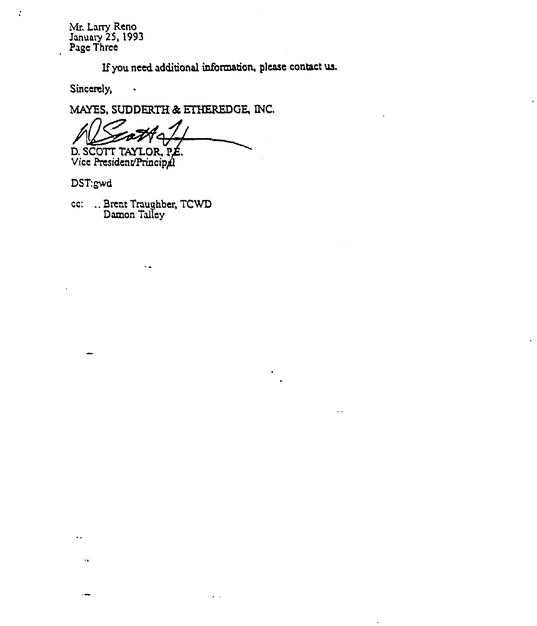Mr. Larry Reno January 25, 1993 Page Three

If you need additional information, please contact us.

 $\ddotsc$ 

Sincerely,

 $\ddot{\cdot}$ 

MAYES, SUDDERTH & ETHEREDGE, INC.

 $\overline{4}$ D, SCOTT TAYLOR, P Vice President/Princip

DST:gwd

 $\ddot{\phantom{a}}$ 

ست

cc: ..Brenr Traughber, TCWD Damon Talley

 $\sim$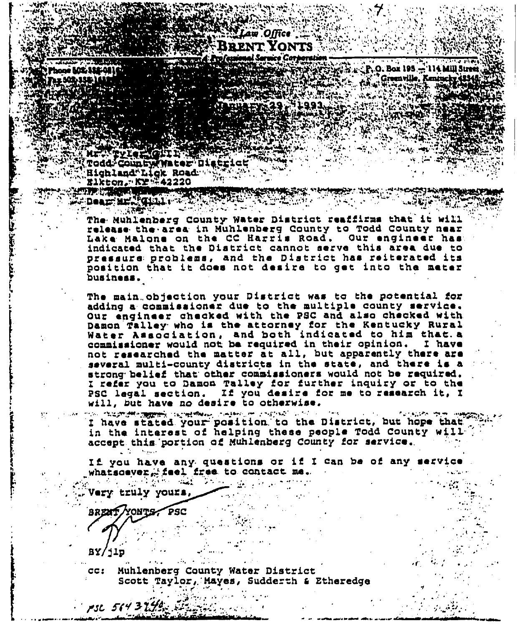# BRENT YONTS

ne MC 116-01)

**Todd: County (Water District** Highland Lick Road

Elkton, rKY ##42220 Archer Court of

P.O. Box 195 - 114 Mill Stree S Greenville, Kentur

**TANK BAR SI PHILIPPE SARAH CHARLES SERIPTED AND** 

Dear Mr. Gille The Muhlenberg County Water District reaffirms that it will release the area in Muhlenberg County to Todd County near Lake Malone on the CC Harris Road. Our engineer has: indicated that the Diatrict cannot serve this area due to pressure problems, and the District has reiterated its position that it does not desire to get into the mater business.

The main objection your District was to the potential for adding a commissioner due to the multiple county service. Our engineer checked with the PSC and also checked with Damon Talley who is the attorney for the Kentucky Rural<br>Water Association, and both indicated to him that a commissioner would not be required in their opinion. I have not researched the matter at all, but apparently there are several multi-county districts in the state, and there is a strong belief that other commissioners would not be required. I refer you to Damon Talley for further inquiry or to the<br>PSC legal section. If you desire for me to research it, I will, but have no desire to otherwise.

**MAN CRISPORT TROPHOLOGY CONTROL COMPANY COMPANY OF A PHOTOGRAPHIC COMPANY CONTROL** ووالمعروفين I have stated your position to the District, but hope that in the interest of helping these people Todd County will accept this portion of Muhlenberg County for service.

If you have any questions or if I can be of any service whatsoever, feel free to contact me.

Very truly yours, BREAT YONTS PSC

 $PSL$   $564$  3  $256$ 

in all stre

**BY/ilp** 

Muhlenberg County Water District  $cc:$ Scott Taylor, Mayes, Sudderth & Etheredge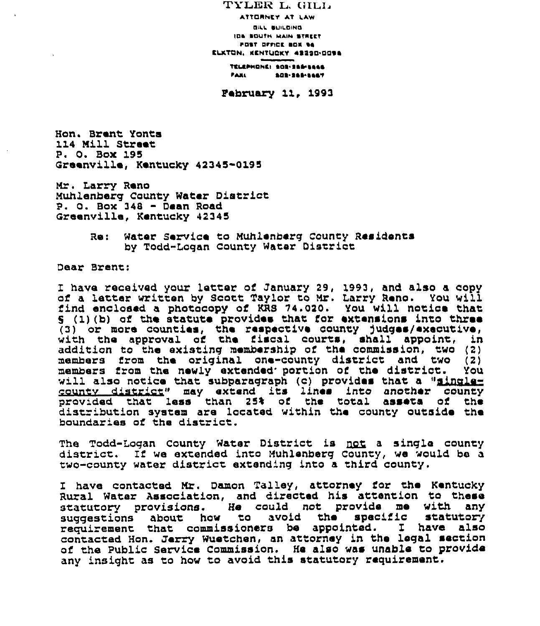TYLER L, GILL ATTORNEY AT LAW Oll» OUI»»INC ION COOT» MAIN CTNCCT FOST OFFICE BOX 94 CLKTON, KENTUCKY 4222D-009A TELEPHONE: 103-145-1444 ~A»I COC CCE CCO't

Pabruary <sup>11</sup>'993

Hon. Brant Yonts 114 Mill Street P. D. Box 195 Greenvilla, Kentucky 42345-0195

Mr. Larry Reno Muhlenberg County Water District  $P. O. Box 348 - Dean Road$ Graenville, Kentucky 42345

> Re: Water Service to Muhlenberg County Residents by Todd-Lagan County Hater District

Daar Brent:

<sup>I</sup> have received your latter of January 29, 1993, and also <sup>a</sup> copy of <sup>a</sup> latter written by Scott Taylor to Mr. Larry Reno. You will find enclosed a photocopy of KRS 74.020. You will notice that  $9$  (1) (b) of the statute provides that for extensions into three (3) or more counties, the respective county judges/executiv with the approval of the fiscal courts, shall appoint, in addition to the existing membership of tha commission, two (2) members from the original one-county district and two (2) members from the newly extended portion of the district. You will also notice that subparagraph (c) provides that a "singlecountv district» may extend its linea into another county provided that lass than 25% of the total assets of tha distribution system are located within the county outside the boundaries of the district.

The Todd-Logan County Water District is <u>not</u> a single county<br>district, If we extended into Muhlenberg County, we would ba a two-county water district extend'ng into a third county.

I have contacted Mr. Damon Talley, attorney for the Kentucky Rural Water Association, and directed his attention to these statutory provisions. He could not provide me with any statutory provisions. As could not provide me with the requirement that commissioners be appointed. I have also contacted Hon. Jerry Wuetchen, an attorney in the legal section of the Public Service Commission. He also was unable to provide any insight as to how to avoid this statutory requirement.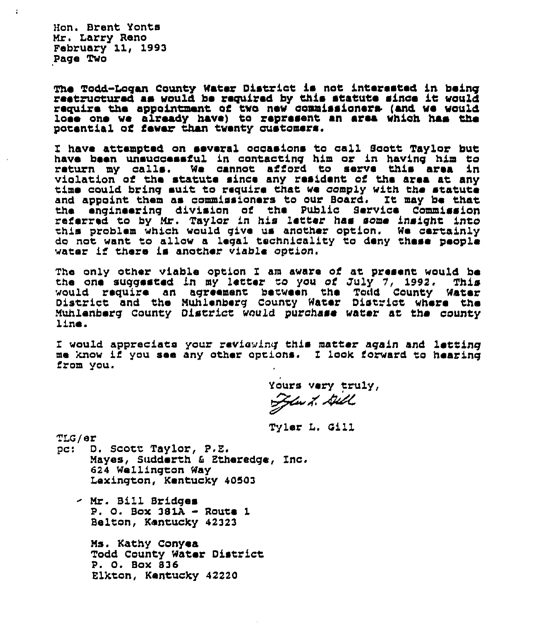Mon. Brent Yonts Mr, Larry Reno February 11, 1993 Page Two

 $\ddot{\phantom{a}}$ 

The Todd-Logan County Water District is not interested in being restructured as would be required by this statute since it would require the appointment of two new commissioners (and we would lose one we already have) to represent an area which has the potent1al af fewer than twenty customers,

I have attempte4 on several oacasions to call Scott Taylor but have been unsuocessful in aontacting him or in having him to return my calls. We cannot afford to serve this area in violation of the statute since any resident of the area at any violation of the statute since any resident of the area at any time could bring suit to require that we comply with the statute and appoint them as commissioners to our Board. It may be that the engineering divisian of ths Public Service Commission referred to by Mr. Taylor in his letter has some insight into this problem which would give us another option. We certainly do nat want, to allow a legal technicality ta deny these people water if there is anather viable option.

The only other viable option I am aware of at present would be<br>the one suggested in my letter to you of July 7, 1992. This the one suggested in my letter to you of July 7, 1992. would require an agreement between the Todd County Water<br>District and the Muhlenberg County Water District where the Muhlenberg caunty District would purchase water at the county l1ne.

I would appreciate your reviewing this matter again and letting me know if yau see any other options. I look forward ta hearing fram yau.

Yours very truly, Jew 1. Dill

Tyler L. Oill

TLG/er<br>pc: D

D. Scott Taylor, P.E. Mayes, Sudderth 6 Etheredge, Inc. 624 Wellington Way Lexington, Kentucky 40503

- Mr. Bill Bridges P. 0. Bax 381A - Route <sup>1</sup> Belton, Kentucky 42323

Ms. Kathy Conyea Todd County Water District P. 0. Box 836 Elktan, Kentucky 42220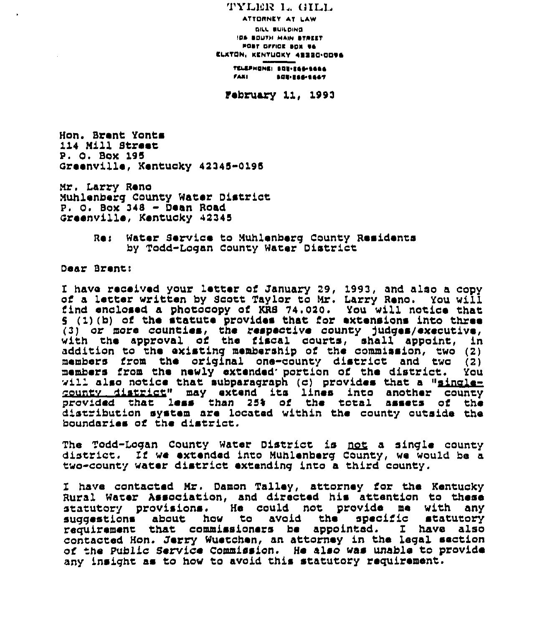TYLER 1., GILL ATTORNEY AT LAW OIAI. OUICOINO IOA OOUTN MAIN OT»CCT POST OFFICE SOX 96 CLKTON, KENTUOKY 42220-0006 TELEPHONEI SOU-E<del>ad-1666</del><br>Faxi - Adrieagiaar rAAI OOO ~OO.COOT

Pebruary 11, 1993

Hon. Brent Yonts 114 Mill Street P. O. Box 195 creenville, Kentucky 42345-0195

Nr. Larry Reno Nuhlenberg County Water District P. 0. Box <sup>348</sup> - Dean Road creenville, Kentucky 42345

> Re: Water Service to Muhlenberg County Residents by Todd-Lagan County Water District

Dear Brent:

<sup>I</sup> have received your letter of January 29, 1993, and also <sup>a</sup> copy of <sup>a</sup> letter written by Scott Taylor to Nr. Larry Reno. You will find enclosed a photocopy of KRS 74.020. You will notice that s (1) (b) of the statute provides that for extensions into three (3) or more counties, the respective county judges/executive with the approval of the fiscal courts, shall appoint, in addition to the existing membership of the commission, two (2) members from the original one-county district and two (2) members from the newly extended portion of the district. You will also notice that subparagraph (c) provides that a "singlecounty district" may extend its lines into another county<br>provided that less than 25% of the total assets of the provided that less than 25% of the total d1stribution system are located within the county outside the boundaries of the district.

The Todd-Logan County Water District is <u>not</u> a single county district. If we extended into Muhlenberg County, we would be a two-county water district extending into a third county.

have contacted Mr. Damon Talley, attorney for the Kentucky Rural Water Association, and directed his attention to these statutory provisions. He could not provide me with any about how to avoid requirement that commissioners be appointed. I have also contacted Hon. Jerry Wuetchen, an attorney in the legal section of the Public Service Commission. He also was unable to provide any insight as to how to avoid this statutory requirement.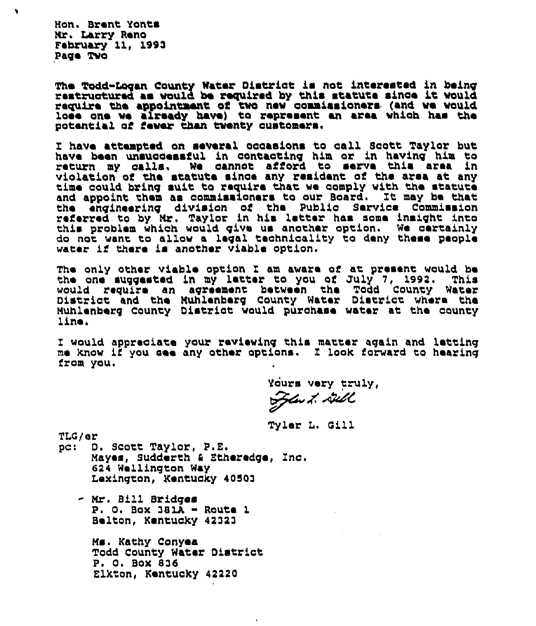Non. Brent Yonta Mr. Larry Rano February 11, 1993 Pago Twa

 $\blacksquare$ 

The Todd-Logan County Water District is not interested in being<br>restructured as would be required by this statute since it would require the appointment of two new commissioners (and we would lose ano wa already have) to represent an area which has tha potential of fewer than twenty customers.

have attempted on several ocoaaions to call Scott Taylor but have been unsuccessful in contacting him or in having him to return my calla, Wo cannot afford to serve this area in violation af the statute since any resident of tha area at any time could bring suit to require that wo comply with tho statute and appoint them aa commissioners to our Board. It may be that the engineering division of the Public Service Commissio referred to by Mr. Taylar in his letter has some insight into this problem which would give us another option. We certainly do not want to allow a legal technicality to deny these people water if there is another viable option.

The only other viable option I am aware of at present would be<br>the one succested in my letter to you of July 7, 1992. This the one suggested in my letter to you of July 7, 1992. This<br>would require an agreement between the Todd County Water District and the Muhlenberg County Water District where the Muhlonborq Caunty District would purahase water at tho county line.

I would appreciate your reviewing this matter again and letting me know if yau, soe any other options. I laak forward to hearing from yau.

 $\epsilon$ 

Yours very truly,  $\overline{\mathscr{G}}$  du  $\overline{\mathscr{G}}$ 

Tyler L. Cill

TLC/er

pc: D. Scott Taylor, P.E. Mayas, Sudderth <sup>6</sup> Etheredge, Inc. 624 Wellington Way Lexington, Kentucky 40503

- Mr. Bill Bridqes  $P. O. Box 381A - Route 1$ Beltan, Kentucky 42323

Ms. Kathy Canyea Todd County Water District P. 0, Box 836 Elktan, Kentucky 42220